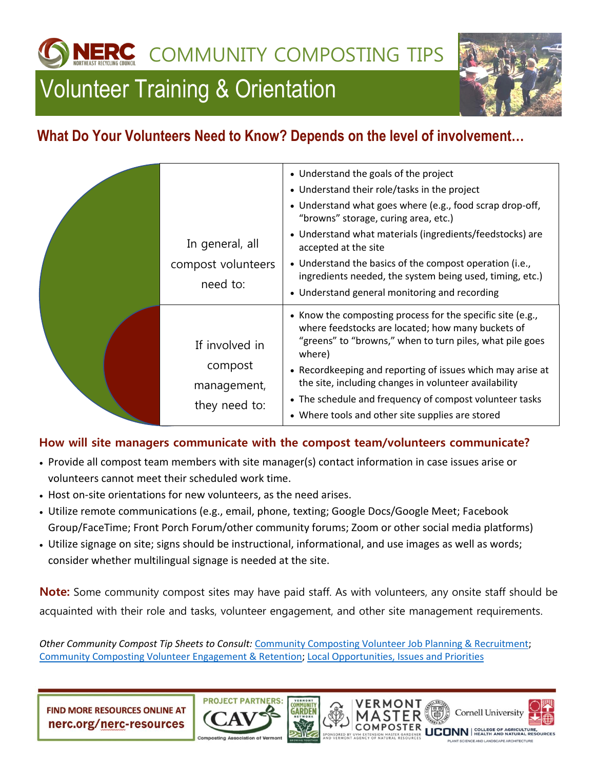**LERC** COMMUNITY COMPOSTING TIPS

## Volunteer Training & Orientation



## **What Do Your Volunteers Need to Know? Depends on the level of involvement…**

|  | In general, all<br>compost volunteers<br>need to:         | • Understand the goals of the project<br>• Understand their role/tasks in the project<br>• Understand what goes where (e.g., food scrap drop-off,<br>"browns" storage, curing area, etc.)<br>• Understand what materials (ingredients/feedstocks) are<br>accepted at the site<br>• Understand the basics of the compost operation (i.e.,<br>ingredients needed, the system being used, timing, etc.)<br>• Understand general monitoring and recording |
|--|-----------------------------------------------------------|-------------------------------------------------------------------------------------------------------------------------------------------------------------------------------------------------------------------------------------------------------------------------------------------------------------------------------------------------------------------------------------------------------------------------------------------------------|
|  | If involved in<br>compost<br>management,<br>they need to: | • Know the composting process for the specific site (e.g.,<br>where feedstocks are located; how many buckets of<br>"greens" to "browns," when to turn piles, what pile goes<br>where)<br>• Recordkeeping and reporting of issues which may arise at<br>the site, including changes in volunteer availability<br>• The schedule and frequency of compost volunteer tasks<br>• Where tools and other site supplies are stored                           |

## **How will site managers communicate with the compost team/volunteers communicate?**

- Provide all compost team members with site manager(s) contact information in case issues arise or volunteers cannot meet their scheduled work time.
- Host on-site orientations for new volunteers, as the need arises.
- Utilize remote communications (e.g., email, phone, texting; Google Docs/Google Meet; Facebook Group/FaceTime; Front Porch Forum/other community forums; Zoom or other social media platforms)
- Utilize signage on site; signs should be instructional, informational, and use images as well as words; consider whether multilingual signage is needed at the site.

**Note:** Some community compost sites may have paid staff. As with volunteers, any onsite staff should be acquainted with their role and tasks, volunteer engagement, and other site management requirements.

*Other Community Compost Tip Sheets to Consult:* [Community Composting Volunteer Job Planning & Recruitment;](https://nerc.org/documents/Organics/Community-Composting-Volunteer-Job-Planning-Recruitment.pdf) [Community Composting Volunteer Engagement & Retention;](https://nerc.org/documents/Organics/Community-Composting-Volunteer-Engagement-Retention.pdf) [Local Opportunities, Issues and Priorities](https://nerc.org/documents/Organics/Local%20Opportunities%20Issues%20and%20Priorities%20Evaluation.pdf)

**FIND MORE RESOURCES ONLINE AT** nerc.org/nerc-resources